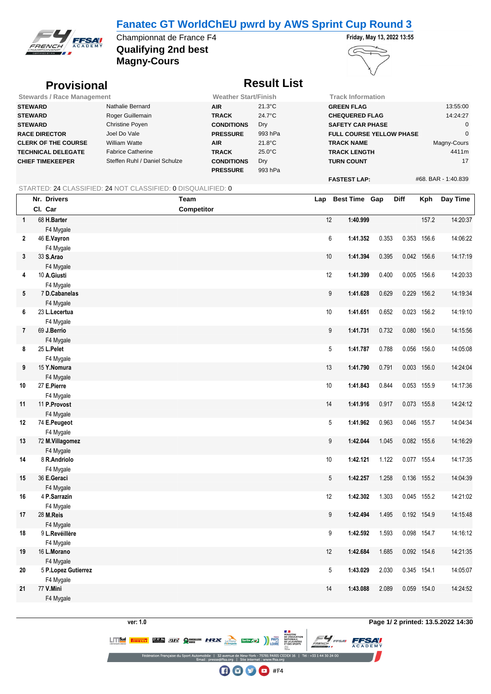### **Fanatec GT WorldChEU pwrd by AWS Sprint Cup Round 3**



**Qualifying 2nd best** Championnat de France F4 **Friday, May 13, 2022 13:55 Magny-Cours**



#### **Provisional** *Result List*

| <b>Stewards / Race Management</b> |                               | <b>Weather Start/Finish</b> |                  | <b>Track Information</b>        |                     |  |  |  |
|-----------------------------------|-------------------------------|-----------------------------|------------------|---------------------------------|---------------------|--|--|--|
| <b>STEWARD</b>                    | Nathalie Bernard              | <b>AIR</b>                  | $21.3^{\circ}$ C | <b>GREEN FLAG</b>               | 13:55:00            |  |  |  |
| <b>STEWARD</b>                    | Roger Guillemain              | <b>TRACK</b>                | $24.7^{\circ}$ C | <b>CHEQUERED FLAG</b>           | 14:24:27            |  |  |  |
| <b>STEWARD</b>                    | Christine Poyen               | <b>CONDITIONS</b>           | Dry              | <b>SAFETY CAR PHASE</b>         |                     |  |  |  |
| <b>RACE DIRECTOR</b>              | Joel Do Vale                  | <b>PRESSURE</b>             | 993 hPa          | <b>FULL COURSE YELLOW PHASE</b> |                     |  |  |  |
| <b>CLERK OF THE COURSE</b>        | William Watte                 | <b>AIR</b>                  | $21.8^{\circ}$ C | <b>TRACK NAME</b>               | Magny-Cours         |  |  |  |
| <b>TECHNICAL DELEGATE</b>         | <b>Fabrice Catherine</b>      | <b>TRACK</b>                | $25.0^{\circ}$ C | <b>TRACK LENGTH</b>             | 4411m               |  |  |  |
| <b>CHIEF TIMEKEEPER</b>           | Steffen Ruhl / Daniel Schulze | <b>CONDITIONS</b>           | Dry              | <b>TURN COUNT</b>               | 17                  |  |  |  |
|                                   |                               | <b>PRESSURE</b>             | 993 hPa          |                                 |                     |  |  |  |
|                                   |                               |                             |                  | <b>FASTEST LAP:</b>             | #68. BAR - 1:40.839 |  |  |  |

#### STARTED: 24 CLASSIFIED: 24 NOT CLASSIFIED: 0 DISQUALIFIED: 0

|                | Nr. Drivers               | Team              | Lap             | <b>Best Time Gap</b> |       | Diff  | Kph         | Day Time |
|----------------|---------------------------|-------------------|-----------------|----------------------|-------|-------|-------------|----------|
|                | Cl. Car                   | <b>Competitor</b> |                 |                      |       |       |             |          |
| $\mathbf{1}$   | 68 H.Barter               |                   | 12              | 1:40.999             |       |       | 157.2       | 14:20:37 |
|                | F4 Mygale                 |                   |                 |                      |       |       |             |          |
| $\mathbf{2}$   | 46 E.Vayron               |                   |                 | 6<br>1:41.352        | 0.353 | 0.353 | 156.6       | 14:06:22 |
|                | F4 Mygale                 |                   |                 |                      |       |       |             |          |
| 3              | 33 S.Arao                 |                   | $10\,$          | 1:41.394             | 0.395 |       | 0.042 156.6 | 14:17:19 |
|                | F4 Mygale                 |                   |                 |                      |       |       |             |          |
| 4              | 10 A.Giusti               |                   | 12              | 1:41.399             | 0.400 |       | 0.005 156.6 | 14:20:33 |
|                | F4 Mygale                 |                   |                 |                      |       |       |             |          |
| 5              | 7 D.Cabanelas             |                   |                 | 9<br>1:41.628        | 0.629 | 0.229 | 156.2       | 14:19:34 |
|                | F4 Mygale                 |                   |                 |                      |       |       |             |          |
| 6              | 23 L.Lecertua             |                   | 10 <sup>°</sup> | 1:41.651             | 0.652 |       | 0.023 156.2 | 14:19:10 |
|                | F4 Mygale                 |                   |                 |                      |       |       |             |          |
| $\overline{7}$ | 69 J.Berrio               |                   |                 | 9<br>1:41.731        | 0.732 | 0.080 | 156.0       | 14:15:56 |
|                | F4 Mygale                 |                   |                 |                      |       |       |             |          |
| 8              | 25 L.Pelet                |                   |                 | 5<br>1:41.787        | 0.788 |       | 0.056 156.0 | 14:05:08 |
|                | F4 Mygale                 |                   |                 |                      |       |       |             |          |
| 9              | 15 Y.Nomura               |                   | 13              | 1:41.790             | 0.791 |       | 0.003 156.0 | 14:24:04 |
| 10             | F4 Mygale                 |                   | $10$            |                      |       |       |             |          |
|                | 27 E.Pierre               |                   |                 | 1:41.843             | 0.844 |       | 0.053 155.9 | 14:17:36 |
| 11             | F4 Mygale<br>11 P.Provost |                   | 14              | 1:41.916             | 0.917 |       | 0.073 155.8 | 14:24:12 |
|                | F4 Mygale                 |                   |                 |                      |       |       |             |          |
| 12             | 74 E.Peugeot              |                   |                 | 5<br>1:41.962        | 0.963 |       | 0.046 155.7 | 14:04:34 |
|                | F4 Mygale                 |                   |                 |                      |       |       |             |          |
| 13             | 72 M.Villagomez           |                   |                 | 9<br>1:42.044        | 1.045 |       | 0.082 155.6 | 14:16:29 |
|                | F4 Mygale                 |                   |                 |                      |       |       |             |          |
| 14             | 8 R.Andriolo              |                   | 10              | 1:42.121             | 1.122 |       | 0.077 155.4 | 14:17:35 |
|                | F4 Mygale                 |                   |                 |                      |       |       |             |          |
| 15             | 36 E.Geraci               |                   |                 | $5\,$<br>1:42.257    | 1.258 |       | 0.136 155.2 | 14:04:39 |
|                | F4 Mygale                 |                   |                 |                      |       |       |             |          |
| 16             | 4 P.Sarrazin              |                   | 12              | 1:42.302             | 1.303 |       | 0.045 155.2 | 14:21:02 |
|                | F4 Mygale                 |                   |                 |                      |       |       |             |          |
| 17             | 28 M.Reis                 |                   |                 | 9<br>1:42.494        | 1.495 |       | 0.192 154.9 | 14:15:48 |
|                | F4 Mygale                 |                   |                 |                      |       |       |             |          |
| 18             | 9 L.Revéillère            |                   |                 | 9<br>1:42.592        | 1.593 |       | 0.098 154.7 | 14:16:12 |
|                | F4 Mygale                 |                   |                 |                      |       |       |             |          |
| 19             | 16 L.Morano               |                   | 12              | 1:42.684             | 1.685 |       | 0.092 154.6 | 14:21:35 |
|                | F4 Mygale                 |                   |                 |                      |       |       |             |          |
| 20             | 5 P.Lopez Gutierrez       |                   |                 | 5<br>1:43.029        | 2.030 |       | 0.345 154.1 | 14:05:07 |
|                | F4 Mygale                 |                   |                 |                      |       |       |             |          |
| 21             | 77 V.Mini                 |                   | 14              | 1:43.088             | 2.089 |       | 0.059 154.0 | 14:24:52 |
|                | F4 Mvgale                 |                   |                 |                      |       |       |             |          |

MINISTERE<br>DE L'ÉDUCATION<br>NATIONALE,<br>DE LA JEUNESSE<br>FT DES SPORTS

 $\bigoplus$   $\bigoplus$   $\bigoplus$  #F4

EDEX 16 | Tél: +33 1 44 30 24 0

**FFSAV**